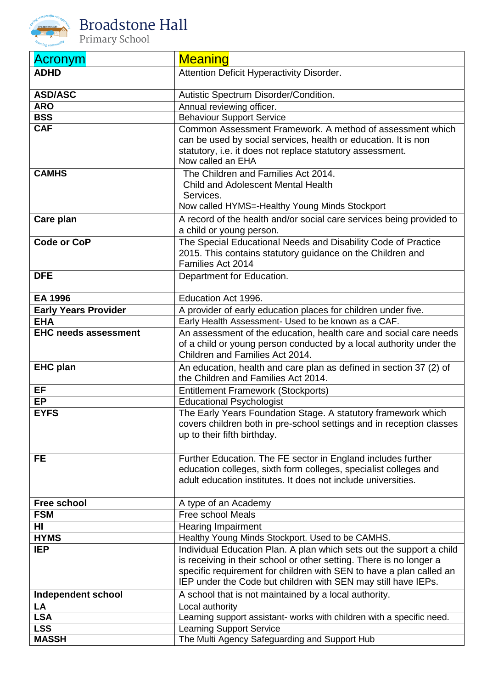

| <b>Acronym</b>              | <b>Meaning</b>                                                                                                                   |
|-----------------------------|----------------------------------------------------------------------------------------------------------------------------------|
| <b>ADHD</b>                 | Attention Deficit Hyperactivity Disorder.                                                                                        |
|                             |                                                                                                                                  |
| <b>ASD/ASC</b>              | Autistic Spectrum Disorder/Condition.                                                                                            |
| <b>ARO</b>                  | Annual reviewing officer.                                                                                                        |
| <b>BSS</b>                  | <b>Behaviour Support Service</b>                                                                                                 |
| <b>CAF</b>                  | Common Assessment Framework. A method of assessment which                                                                        |
|                             | can be used by social services, health or education. It is non<br>statutory, i.e. it does not replace statutory assessment.      |
|                             | Now called an EHA                                                                                                                |
| <b>CAMHS</b>                | The Children and Families Act 2014.                                                                                              |
|                             | <b>Child and Adolescent Mental Health</b>                                                                                        |
|                             | Services.                                                                                                                        |
|                             | Now called HYMS=-Healthy Young Minds Stockport                                                                                   |
| Care plan                   | A record of the health and/or social care services being provided to                                                             |
|                             | a child or young person.                                                                                                         |
| Code or CoP                 | The Special Educational Needs and Disability Code of Practice                                                                    |
|                             | 2015. This contains statutory guidance on the Children and                                                                       |
|                             | Families Act 2014                                                                                                                |
| <b>DFE</b>                  | Department for Education.                                                                                                        |
| <b>EA 1996</b>              | Education Act 1996.                                                                                                              |
| <b>Early Years Provider</b> |                                                                                                                                  |
| <b>EHA</b>                  | A provider of early education places for children under five.<br>Early Health Assessment- Used to be known as a CAF.             |
| <b>EHC needs assessment</b> | An assessment of the education, health care and social care needs                                                                |
|                             | of a child or young person conducted by a local authority under the                                                              |
|                             | Children and Families Act 2014.                                                                                                  |
| <b>EHC plan</b>             | An education, health and care plan as defined in section 37 (2) of                                                               |
|                             | the Children and Families Act 2014.                                                                                              |
| EF                          | <b>Entitlement Framework (Stockports)</b>                                                                                        |
| <b>EP</b>                   | <b>Educational Psychologist</b>                                                                                                  |
| <b>EYFS</b>                 | The Early Years Foundation Stage. A statutory framework which                                                                    |
|                             | covers children both in pre-school settings and in reception classes                                                             |
|                             | up to their fifth birthday.                                                                                                      |
|                             |                                                                                                                                  |
| FE                          | Further Education. The FE sector in England includes further<br>education colleges, sixth form colleges, specialist colleges and |
|                             | adult education institutes. It does not include universities.                                                                    |
|                             |                                                                                                                                  |
| <b>Free school</b>          | A type of an Academy                                                                                                             |
| <b>FSM</b>                  | <b>Free school Meals</b>                                                                                                         |
| HI                          | <b>Hearing Impairment</b>                                                                                                        |
| <b>HYMS</b>                 | Healthy Young Minds Stockport. Used to be CAMHS.                                                                                 |
| <b>IEP</b>                  | Individual Education Plan. A plan which sets out the support a child                                                             |
|                             | is receiving in their school or other setting. There is no longer a                                                              |
|                             | specific requirement for children with SEN to have a plan called an                                                              |
|                             | IEP under the Code but children with SEN may still have IEPs.                                                                    |
| <b>Independent school</b>   | A school that is not maintained by a local authority.                                                                            |
| LA<br><b>LSA</b>            | Local authority                                                                                                                  |
| <b>LSS</b>                  | Learning support assistant- works with children with a specific need.<br><b>Learning Support Service</b>                         |
| <b>MASSH</b>                | The Multi Agency Safeguarding and Support Hub                                                                                    |
|                             |                                                                                                                                  |